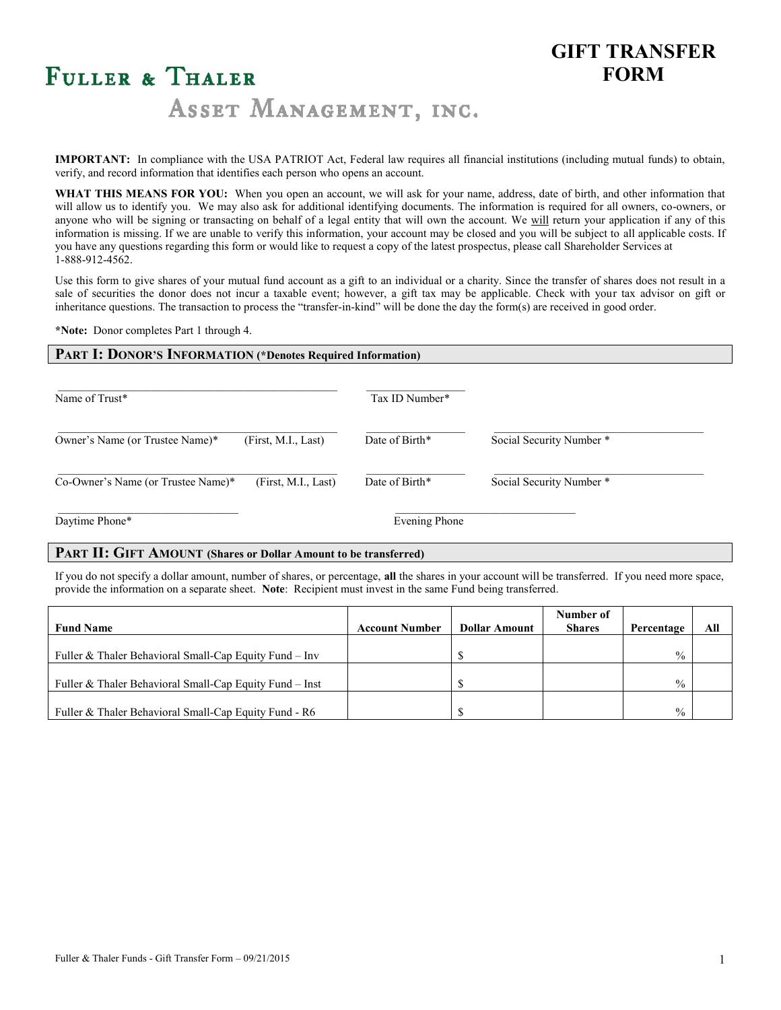## **GIFT TRANSFER FORM**

# FULLER & THALER

ASSET MANAGEMENT, INC.

**IMPORTANT:** In compliance with the USA PATRIOT Act, Federal law requires all financial institutions (including mutual funds) to obtain, verify, and record information that identifies each person who opens an account.

**WHAT THIS MEANS FOR YOU:** When you open an account, we will ask for your name, address, date of birth, and other information that will allow us to identify you. We may also ask for additional identifying documents. The information is required for all owners, co-owners, or anyone who will be signing or transacting on behalf of a legal entity that will own the account. We will return your application if any of this information is missing. If we are unable to verify this information, your account may be closed and you will be subject to all applicable costs. If you have any questions regarding this form or would like to request a copy of the latest prospectus, please call Shareholder Services at 1-888-912-4562.

Use this form to give shares of your mutual fund account as a gift to an individual or a charity. Since the transfer of shares does not result in a sale of securities the donor does not incur a taxable event; however, a gift tax may be applicable. Check with your tax advisor on gift or inheritance questions. The transaction to process the "transfer-in-kind" will be done the day the form(s) are received in good order.

**\*Note:** Donor completes Part 1 through 4.

#### **PART I: DONOR'S INFORMATION (\*Denotes Required Information)**

| Name of Trust*                                            | Tax ID Number* |                          |
|-----------------------------------------------------------|----------------|--------------------------|
| (First, M.I., Last)<br>Owner's Name (or Trustee Name)*    | Date of Birth* | Social Security Number * |
| (First, M.I., Last)<br>Co-Owner's Name (or Trustee Name)* | Date of Birth* | Social Security Number * |
| Daytime Phone*                                            | Evening Phone  |                          |

#### **PART II: GIFT AMOUNT (Shares or Dollar Amount to be transferred)**

If you do not specify a dollar amount, number of shares, or percentage, **all** the shares in your account will be transferred. If you need more space, provide the information on a separate sheet. **Note**: Recipient must invest in the same Fund being transferred.

| <b>Fund Name</b>                                         | <b>Account Number</b> | <b>Dollar Amount</b> | Number of<br><b>Shares</b> | Percentage    | All |
|----------------------------------------------------------|-----------------------|----------------------|----------------------------|---------------|-----|
|                                                          |                       |                      |                            |               |     |
| Fuller & Thaler Behavioral Small-Cap Equity Fund $-$ Inv |                       |                      |                            | $\frac{0}{0}$ |     |
| Fuller & Thaler Behavioral Small-Cap Equity Fund – Inst  |                       |                      |                            | $\frac{0}{0}$ |     |
| Fuller & Thaler Behavioral Small-Cap Equity Fund - R6    |                       |                      |                            | $\frac{0}{0}$ |     |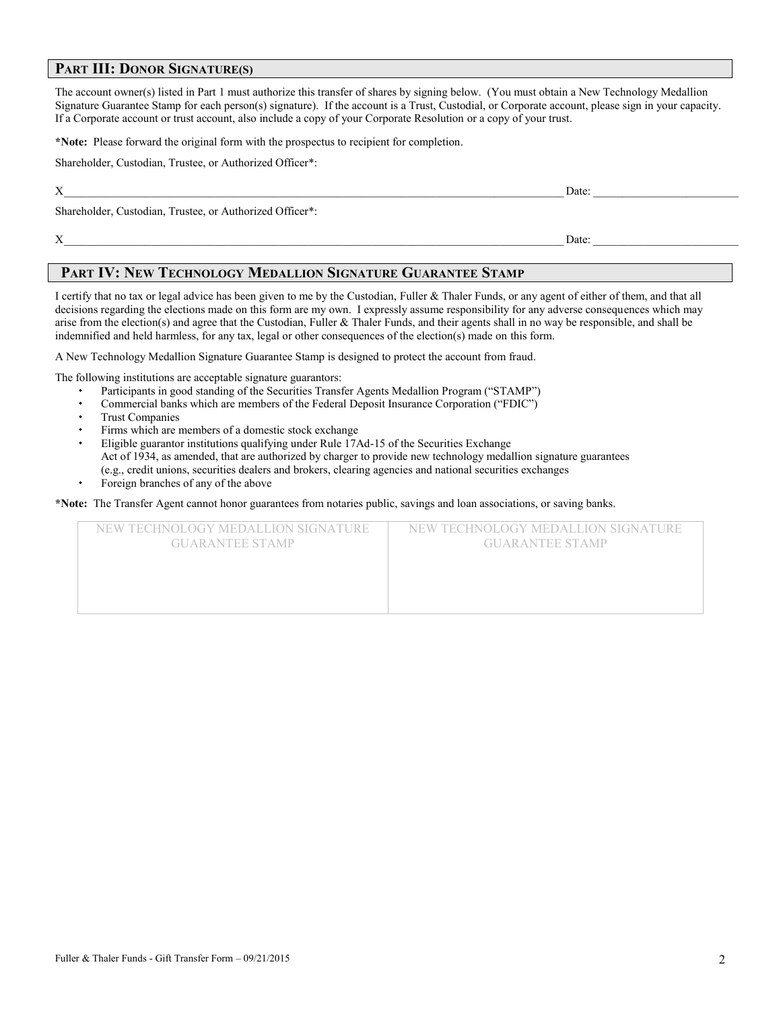#### **PART III: DONOR SIGNATURE(S)**

The account owner(s) listed in Part 1 must authorize this transfer of shares by signing below. (You must obtain a New Technology Medallion Signature Guarantee Stamp for each person(s) signature). If the account is a Trust, Custodial, or Corporate account, please sign in your capacity. If a Corporate account or trust account, also include a copy of your Corporate Resolution or a copy of your trust.

**\*Note:** Please forward the original form with the prospectus to recipient for completion.

Shareholder, Custodian, Trustee, or Authorized Officer\*:

 $X$  Date:

Shareholder, Custodian, Trustee, or Authorized Officer\*:

 $X$  Date:

#### **PART IV: NEW TECHNOLOGY MEDALLION SIGNATURE GUARANTEE STAMP**

I certify that no tax or legal advice has been given to me by the Custodian, Fuller & Thaler Funds, or any agent of either of them, and that all decisions regarding the elections made on this form are my own. I expressly assume responsibility for any adverse consequences which may arise from the election(s) and agree that the Custodian, Fuller & Thaler Funds, and their agents shall in no way be responsible, and shall be indemnified and held harmless, for any tax, legal or other consequences of the election(s) made on this form.

A New Technology Medallion Signature Guarantee Stamp is designed to protect the account from fraud.

The following institutions are acceptable signature guarantors:

- Participants in good standing of the Securities Transfer Agents Medallion Program ("STAMP")
- Commercial banks which are members of the Federal Deposit Insurance Corporation ("FDIC")
- Trust Companies
- Firms which are members of a domestic stock exchange
- Eligible guarantor institutions qualifying under Rule 17Ad-15 of the Securities Exchange Act of 1934, as amended, that are authorized by charger to provide new technology medallion signature guarantees (e.g., credit unions, securities dealers and brokers, clearing agencies and national securities exchanges
- Foreign branches of any of the above

**\*Note:** The Transfer Agent cannot honor guarantees from notaries public, savings and loan associations, or saving banks.

| NEW TECHNOLOGY MEDALLION SIGNATURE<br><b>GUARANTEE STAMP</b> | NEW TECHNOLOGY MEDALLION SIGNATURE<br><b>GUARANTEE STAMP</b> |
|--------------------------------------------------------------|--------------------------------------------------------------|
|                                                              |                                                              |
|                                                              |                                                              |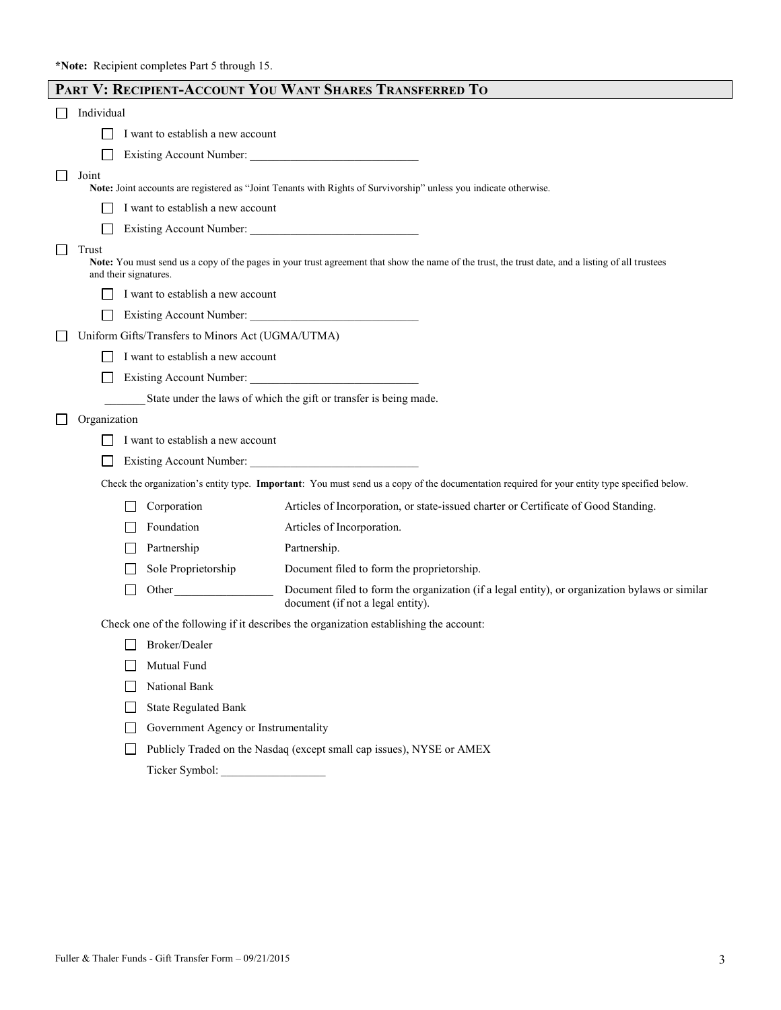|                                |              |                                                   | PART V: RECIPIENT-ACCOUNT YOU WANT SHARES TRANSFERRED TO                                                                                          |
|--------------------------------|--------------|---------------------------------------------------|---------------------------------------------------------------------------------------------------------------------------------------------------|
| Individual                     |              |                                                   |                                                                                                                                                   |
|                                |              | I want to establish a new account                 |                                                                                                                                                   |
|                                |              |                                                   | Existing Account Number:                                                                                                                          |
| Joint                          |              |                                                   | Note: Joint accounts are registered as "Joint Tenants with Rights of Survivorship" unless you indicate otherwise.                                 |
|                                |              | I want to establish a new account                 |                                                                                                                                                   |
|                                |              |                                                   | Existing Account Number:                                                                                                                          |
| Trust<br>and their signatures. |              |                                                   | Note: You must send us a copy of the pages in your trust agreement that show the name of the trust, the trust date, and a listing of all trustees |
|                                |              | I want to establish a new account                 |                                                                                                                                                   |
| ப                              |              |                                                   | Existing Account Number:                                                                                                                          |
|                                |              | Uniform Gifts/Transfers to Minors Act (UGMA/UTMA) |                                                                                                                                                   |
|                                |              | I want to establish a new account                 |                                                                                                                                                   |
|                                |              |                                                   | Existing Account Number:                                                                                                                          |
|                                |              |                                                   | State under the laws of which the gift or transfer is being made.                                                                                 |
| Organization                   |              |                                                   |                                                                                                                                                   |
|                                |              | I want to establish a new account                 |                                                                                                                                                   |
|                                |              |                                                   |                                                                                                                                                   |
|                                |              |                                                   | Check the organization's entity type. Important: You must send us a copy of the documentation required for your entity type specified below.      |
|                                |              | Corporation                                       | Articles of Incorporation, or state-issued charter or Certificate of Good Standing.                                                               |
|                                |              | Foundation                                        | Articles of Incorporation.                                                                                                                        |
|                                |              | Partnership                                       | Partnership.                                                                                                                                      |
|                                |              | Sole Proprietorship                               | Document filed to form the proprietorship.                                                                                                        |
|                                |              | Other                                             | Document filed to form the organization (if a legal entity), or organization bylaws or similar<br>document (if not a legal entity).               |
|                                |              |                                                   | Check one of the following if it describes the organization establishing the account:                                                             |
|                                |              | Broker/Dealer                                     |                                                                                                                                                   |
|                                |              | Mutual Fund                                       |                                                                                                                                                   |
|                                |              | National Bank                                     |                                                                                                                                                   |
|                                | $\mathbf{I}$ | <b>State Regulated Bank</b>                       |                                                                                                                                                   |
|                                |              | Government Agency or Instrumentality              |                                                                                                                                                   |
|                                |              |                                                   | Publicly Traded on the Nasdaq (except small cap issues), NYSE or AMEX                                                                             |
|                                |              |                                                   |                                                                                                                                                   |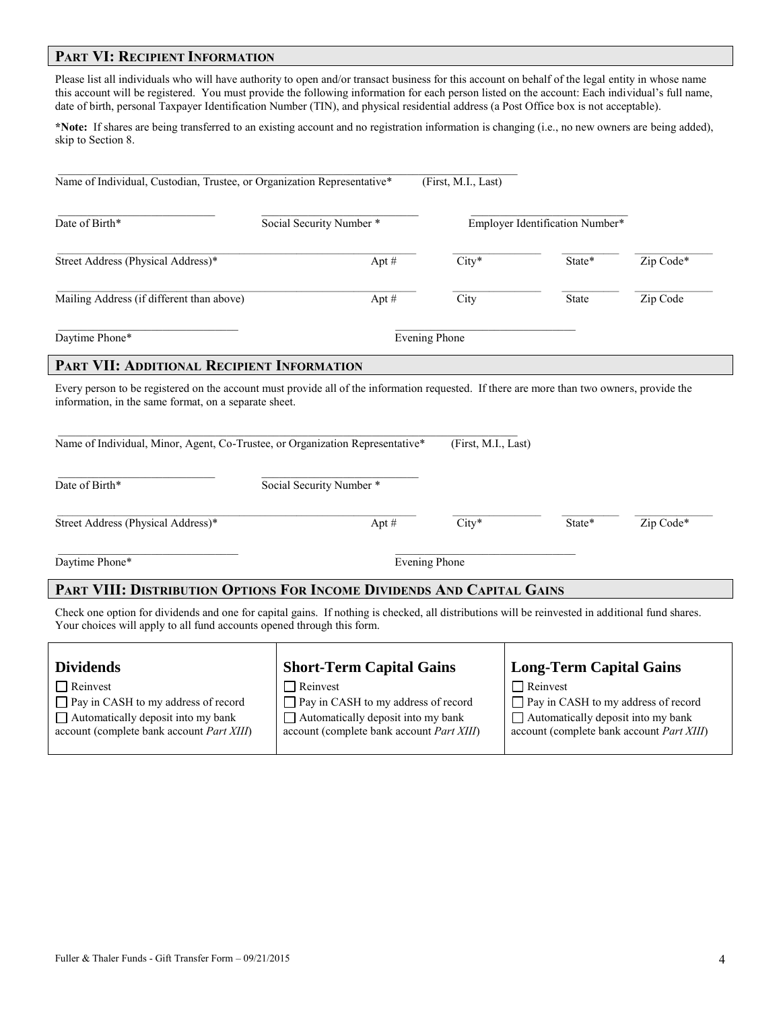#### **PART VI: RECIPIENT INFORMATION**

Please list all individuals who will have authority to open and/or transact business for this account on behalf of the legal entity in whose name this account will be registered. You must provide the following information for each person listed on the account: Each individual's full name, date of birth, personal Taxpayer Identification Number (TIN), and physical residential address (a Post Office box is not acceptable).

**\*Note:** If shares are being transferred to an existing account and no registration information is changing (i.e., no new owners are being added), skip to Section 8.

| Date of Birth*                                                         | Social Security Number *                                                                                                                         |                      | Employer Identification Number* |           |
|------------------------------------------------------------------------|--------------------------------------------------------------------------------------------------------------------------------------------------|----------------------|---------------------------------|-----------|
| Street Address (Physical Address)*                                     | Apt $#$                                                                                                                                          | $City*$              | State*                          | Zip Code* |
| Mailing Address (if different than above)                              | Apt#                                                                                                                                             | City                 | State                           | Zip Code  |
| Daytime Phone*                                                         |                                                                                                                                                  | <b>Evening Phone</b> |                                 |           |
| PART VII: ADDITIONAL RECIPIENT INFORMATION                             |                                                                                                                                                  |                      |                                 |           |
|                                                                        |                                                                                                                                                  |                      |                                 |           |
| Date of Birth*                                                         | Name of Individual, Minor, Agent, Co-Trustee, or Organization Representative*<br>Social Security Number *                                        | (First, M.I., Last)  |                                 |           |
| Street Address (Physical Address)*                                     | Apt $#$                                                                                                                                          | $City*$              | State*                          | Zip Code* |
| Daytime Phone*                                                         |                                                                                                                                                  | <b>Evening Phone</b> |                                 |           |
|                                                                        | PART VIII: DISTRIBUTION OPTIONS FOR INCOME DIVIDENDS AND CAPITAL GAINS                                                                           |                      |                                 |           |
| Your choices will apply to all fund accounts opened through this form. | Check one option for dividends and one for capital gains. If nothing is checked, all distributions will be reinvested in additional fund shares. |                      |                                 |           |

| <b>Dividends</b>                                  | <b>Short-Term Capital Gains</b>                   | <b>Long-Term Capital Gains</b>                    |
|---------------------------------------------------|---------------------------------------------------|---------------------------------------------------|
| $\Box$ Reinvest                                   | Reinvest                                          | $\Box$ Reinvest                                   |
| $\Box$ Pay in CASH to my address of record        | $\Box$ Pay in CASH to my address of record        | □ Pay in CASH to my address of record             |
| $\Box$ Automatically deposit into my bank         | $\Box$ Automatically deposit into my bank         | $\Box$ Automatically deposit into my bank         |
| account (complete bank account <i>Part XIII</i> ) | account (complete bank account <i>Part XIII</i> ) | account (complete bank account <i>Part XIII</i> ) |
|                                                   |                                                   |                                                   |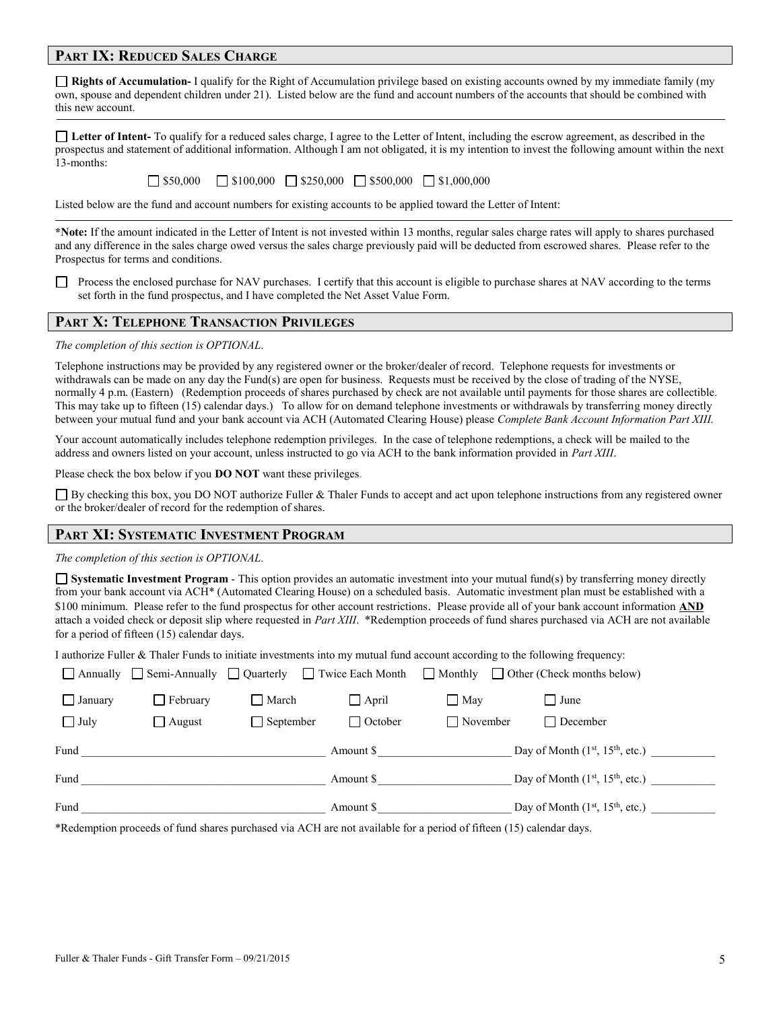#### **PART IX: REDUCED SALES CHARGE**

**Rights of Accumulation-** I qualify for the Right of Accumulation privilege based on existing accounts owned by my immediate family (my own, spouse and dependent children under 21). Listed below are the fund and account numbers of the accounts that should be combined with this new account.

**Letter of Intent-** To qualify for a reduced sales charge, I agree to the Letter of Intent, including the escrow agreement, as described in the prospectus and statement of additional information. Although I am not obligated, it is my intention to invest the following amount within the next 13-months:

| $\Box$ \$50,000 |  | $\Box$ \$100,000 $\Box$ \$250,000 $\Box$ \$500,000 | $\Box$ \$1,000,000 |
|-----------------|--|----------------------------------------------------|--------------------|
|                 |  |                                                    |                    |

Listed below are the fund and account numbers for existing accounts to be applied toward the Letter of Intent:

**\*Note:** If the amount indicated in the Letter of Intent is not invested within 13 months, regular sales charge rates will apply to shares purchased and any difference in the sales charge owed versus the sales charge previously paid will be deducted from escrowed shares. Please refer to the Prospectus for terms and conditions.

Process the enclosed purchase for NAV purchases. I certify that this account is eligible to purchase shares at NAV according to the terms set forth in the fund prospectus, and I have completed the Net Asset Value Form.

#### **PART X: TELEPHONE TRANSACTION PRIVILEGES**

*The completion of this section is OPTIONAL.*

Telephone instructions may be provided by any registered owner or the broker/dealer of record. Telephone requests for investments or withdrawals can be made on any day the Fund(s) are open for business. Requests must be received by the close of trading of the NYSE, normally 4 p.m. (Eastern) (Redemption proceeds of shares purchased by check are not available until payments for those shares are collectible. This may take up to fifteen (15) calendar days.) To allow for on demand telephone investments or withdrawals by transferring money directly between your mutual fund and your bank account via ACH (Automated Clearing House) please *Complete Bank Account Information Part XIII.* 

Your account automatically includes telephone redemption privileges. In the case of telephone redemptions, a check will be mailed to the address and owners listed on your account, unless instructed to go via ACH to the bank information provided in *Part XIII*.

Please check the box below if you **DO NOT** want these privileges.

 $\Box$  By checking this box, you DO NOT authorize Fuller & Thaler Funds to accept and act upon telephone instructions from any registered owner or the broker/dealer of record for the redemption of shares.

#### **PART XI: SYSTEMATIC INVESTMENT PROGRAM**

*The completion of this section is OPTIONAL.*

**Systematic Investment Program** - This option provides an automatic investment into your mutual fund(s) by transferring money directly from your bank account via ACH\* (Automated Clearing House) on a scheduled basis. Automatic investment plan must be established with a \$100 minimum. Please refer to the fund prospectus for other account restrictions. Please provide all of your bank account information **AND** attach a voided check or deposit slip where requested in *Part XIII*. \*Redemption proceeds of fund shares purchased via ACH are not available for a period of fifteen (15) calendar days.

I authorize Fuller & Thaler Funds to initiate investments into my mutual fund account according to the following frequency:

|                |                 |                  |                |                 | △ Annually △ Semi-Annually △ Quarterly △ Twice Each Month △ Monthly △ Other (Check months below) |  |
|----------------|-----------------|------------------|----------------|-----------------|--------------------------------------------------------------------------------------------------|--|
| $\Box$ January | $\Box$ February | March            | $\Box$ April   | $\Box$ May      | I June                                                                                           |  |
| $\Box$ July    | $\Box$ August   | $\Box$ September | $\Box$ October | $\Box$ November | □ December                                                                                       |  |
| Fund           |                 |                  | Amount \$      |                 | Day of Month $(1st, 15th, etc.)$                                                                 |  |
| Fund           |                 |                  | Amount \$      |                 | Day of Month $(1st, 15th, etc.)$                                                                 |  |
| Fund           |                 |                  | Amount \$      |                 | Day of Month $(1st, 15th, etc.)$                                                                 |  |

\*Redemption proceeds of fund shares purchased via ACH are not available for a period of fifteen (15) calendar days.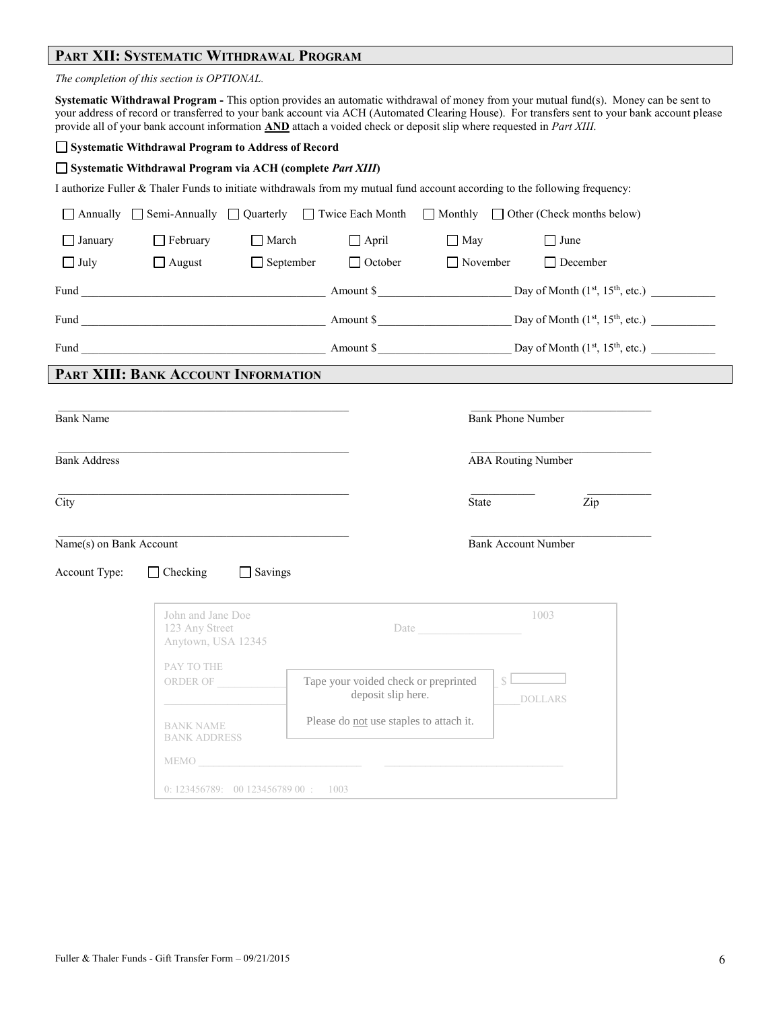## **PART XII: SYSTEMATIC WITHDRAWAL PROGRAM**

|                         | The completion of this section is OPTIONAL.                |                                   |                                                                  |                                                                                                                      |                                                                                                                                                                                                                                                                                       |  |
|-------------------------|------------------------------------------------------------|-----------------------------------|------------------------------------------------------------------|----------------------------------------------------------------------------------------------------------------------|---------------------------------------------------------------------------------------------------------------------------------------------------------------------------------------------------------------------------------------------------------------------------------------|--|
|                         |                                                            |                                   |                                                                  | provide all of your bank account information AND attach a voided check or deposit slip where requested in Part XIII. | Systematic Withdrawal Program - This option provides an automatic withdrawal of money from your mutual fund(s). Money can be sent to<br>your address of record or transferred to your bank account via ACH (Automated Clearing House). For transfers sent to your bank account please |  |
|                         | Systematic Withdrawal Program to Address of Record         |                                   |                                                                  |                                                                                                                      |                                                                                                                                                                                                                                                                                       |  |
|                         | Systematic Withdrawal Program via ACH (complete Part XIII) |                                   |                                                                  |                                                                                                                      |                                                                                                                                                                                                                                                                                       |  |
|                         |                                                            |                                   |                                                                  |                                                                                                                      | I authorize Fuller & Thaler Funds to initiate withdrawals from my mutual fund account according to the following frequency:                                                                                                                                                           |  |
|                         |                                                            |                                   |                                                                  |                                                                                                                      | $\Box$ Annually $\Box$ Semi-Annually $\Box$ Quarterly $\Box$ Twice Each Month $\Box$ Monthly $\Box$ Other (Check months below)                                                                                                                                                        |  |
| $\Box$ January          | $\Box$ February                                            | March                             | $\Box$ April                                                     | $\Box$ May                                                                                                           | $\Box$ June                                                                                                                                                                                                                                                                           |  |
| $\Box$ July             | $\Box$ August                                              | $\Box$ September                  | $\Box$ October                                                   | $\Box$ November                                                                                                      | $\Box$ December                                                                                                                                                                                                                                                                       |  |
|                         |                                                            |                                   |                                                                  |                                                                                                                      |                                                                                                                                                                                                                                                                                       |  |
|                         |                                                            |                                   |                                                                  |                                                                                                                      |                                                                                                                                                                                                                                                                                       |  |
|                         |                                                            |                                   |                                                                  |                                                                                                                      |                                                                                                                                                                                                                                                                                       |  |
|                         | PART XIII: BANK ACCOUNT INFORMATION                        |                                   |                                                                  |                                                                                                                      |                                                                                                                                                                                                                                                                                       |  |
|                         |                                                            |                                   |                                                                  |                                                                                                                      |                                                                                                                                                                                                                                                                                       |  |
| <b>Bank Name</b>        |                                                            |                                   |                                                                  | <b>Bank Phone Number</b>                                                                                             |                                                                                                                                                                                                                                                                                       |  |
|                         |                                                            |                                   |                                                                  |                                                                                                                      |                                                                                                                                                                                                                                                                                       |  |
| <b>Bank Address</b>     |                                                            |                                   |                                                                  | <b>ABA Routing Number</b>                                                                                            |                                                                                                                                                                                                                                                                                       |  |
|                         |                                                            |                                   |                                                                  |                                                                                                                      |                                                                                                                                                                                                                                                                                       |  |
| City                    |                                                            |                                   |                                                                  | State                                                                                                                | Zip                                                                                                                                                                                                                                                                                   |  |
| Name(s) on Bank Account |                                                            |                                   |                                                                  | <b>Bank Account Number</b>                                                                                           |                                                                                                                                                                                                                                                                                       |  |
| Account Type:           | $\Box$ Checking                                            | $\Box$ Savings                    |                                                                  |                                                                                                                      |                                                                                                                                                                                                                                                                                       |  |
|                         |                                                            |                                   |                                                                  |                                                                                                                      |                                                                                                                                                                                                                                                                                       |  |
|                         | John and Jane Doe<br>123 Any Street<br>Anytown, USA 12345  |                                   | Date                                                             |                                                                                                                      | 1003                                                                                                                                                                                                                                                                                  |  |
|                         | PAY TO THE                                                 |                                   |                                                                  |                                                                                                                      |                                                                                                                                                                                                                                                                                       |  |
|                         | ORDER OF                                                   |                                   | Tape your voided check or preprinted<br>deposit slip here.       | S                                                                                                                    | <b>DOLLARS</b>                                                                                                                                                                                                                                                                        |  |
|                         | <b>BANK NAME</b><br><b>BANK ADDRESS</b>                    |                                   | Please do not use staples to attach it.                          |                                                                                                                      |                                                                                                                                                                                                                                                                                       |  |
|                         |                                                            |                                   | MEMO <b>ACCEPTED ACCEPTED ACCEPTANCE OF ACCEPTANCE OF ACCEPT</b> |                                                                                                                      |                                                                                                                                                                                                                                                                                       |  |
|                         |                                                            | 0: 123456789: 0012345678900: 1003 |                                                                  |                                                                                                                      |                                                                                                                                                                                                                                                                                       |  |
|                         |                                                            |                                   |                                                                  |                                                                                                                      |                                                                                                                                                                                                                                                                                       |  |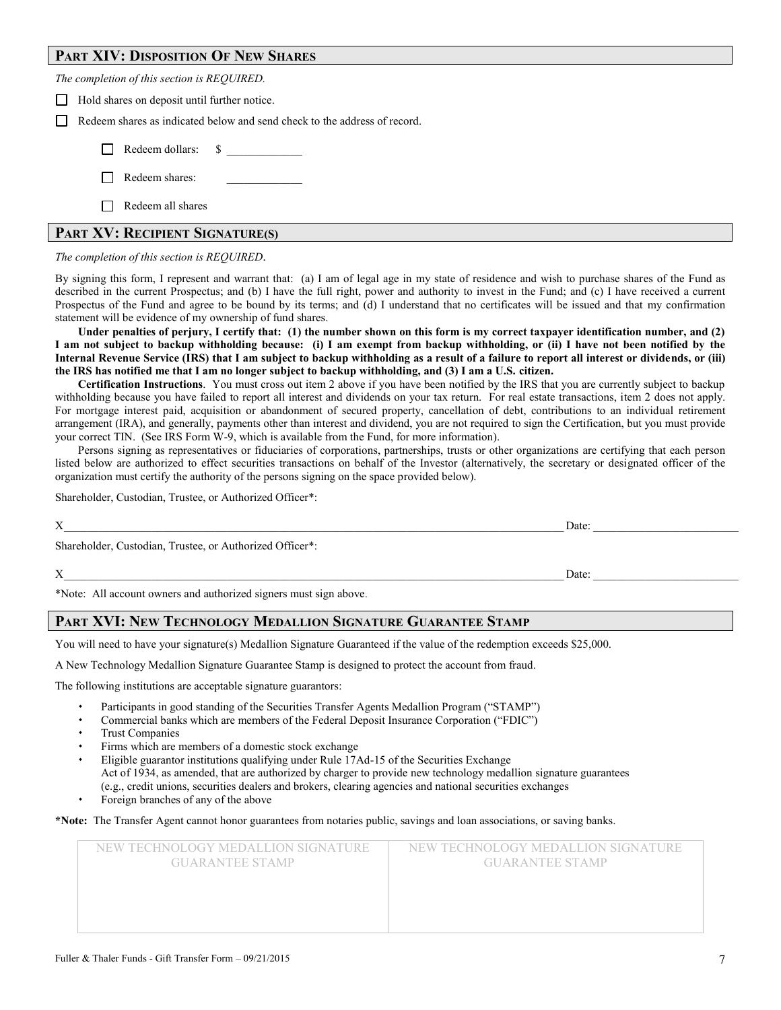#### **PART XIV: DISPOSITION OF NEW SHARES**

| The completion of this section is REQUIRED.                                                                                                 |
|---------------------------------------------------------------------------------------------------------------------------------------------|
| Hold shares on deposit until further notice.<br>$\mathsf{L}$                                                                                |
| Redeem shares as indicated below and send check to the address of record.<br>$\mathbf{I}$                                                   |
| Redeem dollars: \$                                                                                                                          |
| Redeem shares:                                                                                                                              |
| Redeem all shares                                                                                                                           |
| PART XV: RECIPIENT SIGNATURE(S)                                                                                                             |
| The completion of this section is REQUIRED.                                                                                                 |
| De similar this famo. I samerous and common that (a) I am af land and in mer state of scribure and coide to monthere shower af the Dond and |

By signing this form, I represent and warrant that: (a) I am of legal age in my state of residence and wish to purchase shares of the Fund as described in the current Prospectus; and (b) I have the full right, power and authority to invest in the Fund; and (c) I have received a current Prospectus of the Fund and agree to be bound by its terms; and (d) I understand that no certificates will be issued and that my confirmation statement will be evidence of my ownership of fund shares.

**Under penalties of perjury, I certify that: (1) the number shown on this form is my correct taxpayer identification number, and (2) I am not subject to backup withholding because: (i) I am exempt from backup withholding, or (ii) I have not been notified by the Internal Revenue Service (IRS) that I am subject to backup withholding as a result of a failure to report all interest or dividends, or (iii) the IRS has notified me that I am no longer subject to backup withholding, and (3) I am a U.S. citizen.**

**Certification Instructions**. You must cross out item 2 above if you have been notified by the IRS that you are currently subject to backup withholding because you have failed to report all interest and dividends on your tax return. For real estate transactions, item 2 does not apply. For mortgage interest paid, acquisition or abandonment of secured property, cancellation of debt, contributions to an individual retirement arrangement (IRA), and generally, payments other than interest and dividend, you are not required to sign the Certification, but you must provide your correct TIN. (See IRS Form W-9, which is available from the Fund, for more information).

Persons signing as representatives or fiduciaries of corporations, partnerships, trusts or other organizations are certifying that each person listed below are authorized to effect securities transactions on behalf of the Investor (alternatively, the secretary or designated officer of the organization must certify the authority of the persons signing on the space provided below).

Shareholder, Custodian, Trustee, or Authorized Officer\*:

| X                                                        | Date: |  |
|----------------------------------------------------------|-------|--|
| Shareholder, Custodian, Trustee, or Authorized Officer*: |       |  |
| X                                                        | Date: |  |

\*Note: All account owners and authorized signers must sign above.

#### **PART XVI: NEW TECHNOLOGY MEDALLION SIGNATURE GUARANTEE STAMP**

You will need to have your signature(s) Medallion Signature Guaranteed if the value of the redemption exceeds \$25,000.

A New Technology Medallion Signature Guarantee Stamp is designed to protect the account from fraud.

The following institutions are acceptable signature guarantors:

- Participants in good standing of the Securities Transfer Agents Medallion Program ("STAMP")
- Commercial banks which are members of the Federal Deposit Insurance Corporation ("FDIC")
- Trust Companies
- Firms which are members of a domestic stock exchange
- Eligible guarantor institutions qualifying under Rule 17Ad-15 of the Securities Exchange Act of 1934, as amended, that are authorized by charger to provide new technology medallion signature guarantees (e.g., credit unions, securities dealers and brokers, clearing agencies and national securities exchanges
- Foreign branches of any of the above

**\*Note:** The Transfer Agent cannot honor guarantees from notaries public, savings and loan associations, or saving banks.

| NEW TECHNOLOGY MEDALLION SIGNATURE<br><b>GUARANTEE STAMP</b> | NEW TECHNOLOGY MEDALLION SIGNATURE<br><b>GUARANTEE STAMP</b> |
|--------------------------------------------------------------|--------------------------------------------------------------|
|                                                              |                                                              |
|                                                              |                                                              |